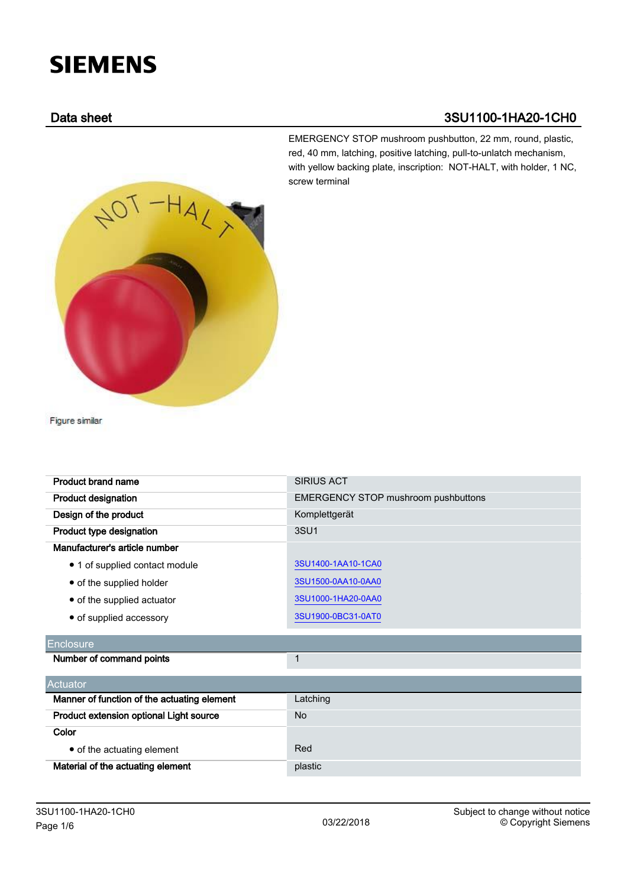# **SIEMENS**

### Data sheet 3SU1100-1HA20-1CH0

 $H_{A_{\mathcal{L}}}$ 

EMERGENCY STOP mushroom pushbutton, 22 mm, round, plastic, red, 40 mm, latching, positive latching, pull-to-unlatch mechanism, with yellow backing plate, inscription: NOT-HALT, with holder, 1 NC, screw terminal

Figure similar

| Product brand name             | <b>SIRIUS ACT</b>                          |
|--------------------------------|--------------------------------------------|
| <b>Product designation</b>     | <b>EMERGENCY STOP mushroom pushbuttons</b> |
| Design of the product          | Komplettgerät                              |
| Product type designation       | 3SU <sub>1</sub>                           |
| Manufacturer's article number  |                                            |
| • 1 of supplied contact module | 3SU1400-1AA10-1CA0                         |
| • of the supplied holder       | 3SU1500-0AA10-0AA0                         |
| • of the supplied actuator     | 3SU1000-1HA20-0AA0                         |
| • of supplied accessory        | 3SU1900-0BC31-0AT0                         |

## **Enclosure**

| Number of command points |  |
|--------------------------|--|
|--------------------------|--|

| <b>Actuator</b>                             |          |  |
|---------------------------------------------|----------|--|
| Manner of function of the actuating element | Latching |  |
| Product extension optional Light source     | No.      |  |
| Color                                       |          |  |
| • of the actuating element                  | Red      |  |
| Material of the actuating element           | plastic  |  |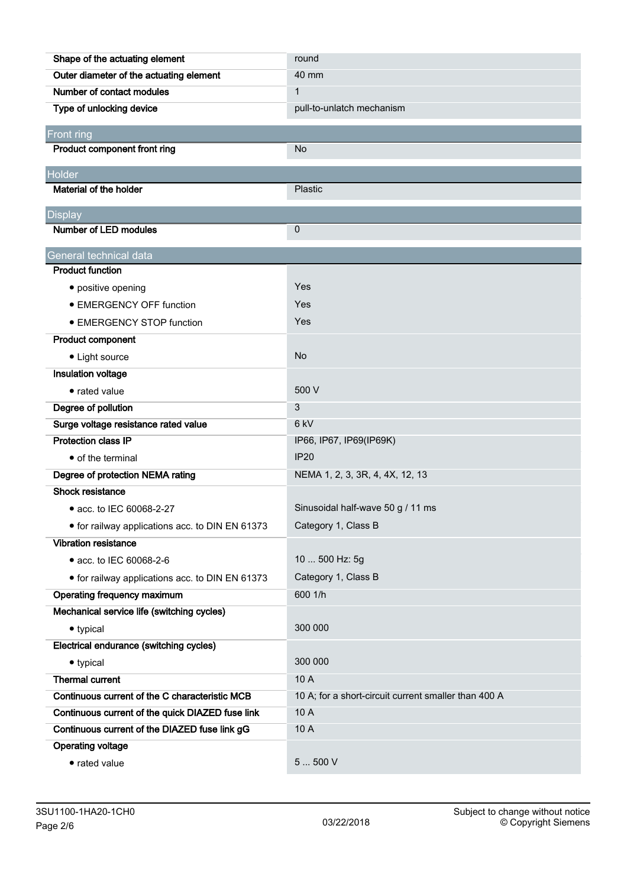| Shape of the actuating element                   | round                                                |
|--------------------------------------------------|------------------------------------------------------|
| Outer diameter of the actuating element          | 40 mm                                                |
| Number of contact modules                        | $\mathbf{1}$                                         |
| Type of unlocking device                         | pull-to-unlatch mechanism                            |
| Front ring                                       |                                                      |
| Product component front ring                     | <b>No</b>                                            |
| Holder                                           |                                                      |
| Material of the holder                           | Plastic                                              |
|                                                  |                                                      |
| <b>Display</b>                                   |                                                      |
| Number of LED modules                            | 0                                                    |
| General technical data                           |                                                      |
| <b>Product function</b>                          |                                                      |
| • positive opening                               | Yes                                                  |
| • EMERGENCY OFF function                         | Yes                                                  |
| • EMERGENCY STOP function                        | Yes                                                  |
| <b>Product component</b>                         |                                                      |
| • Light source                                   | N <sub>o</sub>                                       |
| Insulation voltage                               |                                                      |
| • rated value                                    | 500 V                                                |
| Degree of pollution                              | 3                                                    |
| Surge voltage resistance rated value             | 6 <sub>kV</sub>                                      |
| <b>Protection class IP</b>                       | IP66, IP67, IP69(IP69K)                              |
| • of the terminal                                | <b>IP20</b>                                          |
| Degree of protection NEMA rating                 | NEMA 1, 2, 3, 3R, 4, 4X, 12, 13                      |
| <b>Shock resistance</b>                          |                                                      |
| • acc. to IEC 60068-2-27                         | Sinusoidal half-wave 50 g / 11 ms                    |
| • for railway applications acc. to DIN EN 61373  | Category 1, Class B                                  |
| <b>Vibration resistance</b>                      |                                                      |
| • acc. to IEC 60068-2-6                          | 10  500 Hz: 5g                                       |
| • for railway applications acc. to DIN EN 61373  | Category 1, Class B                                  |
| Operating frequency maximum                      | 600 1/h                                              |
| Mechanical service life (switching cycles)       |                                                      |
| • typical                                        | 300 000                                              |
| Electrical endurance (switching cycles)          |                                                      |
| • typical                                        | 300 000                                              |
| <b>Thermal current</b>                           | 10 A                                                 |
| Continuous current of the C characteristic MCB   | 10 A; for a short-circuit current smaller than 400 A |
| Continuous current of the quick DIAZED fuse link | 10 A                                                 |
| Continuous current of the DIAZED fuse link gG    | 10 A                                                 |
| <b>Operating voltage</b>                         |                                                      |
| • rated value                                    | 5500V                                                |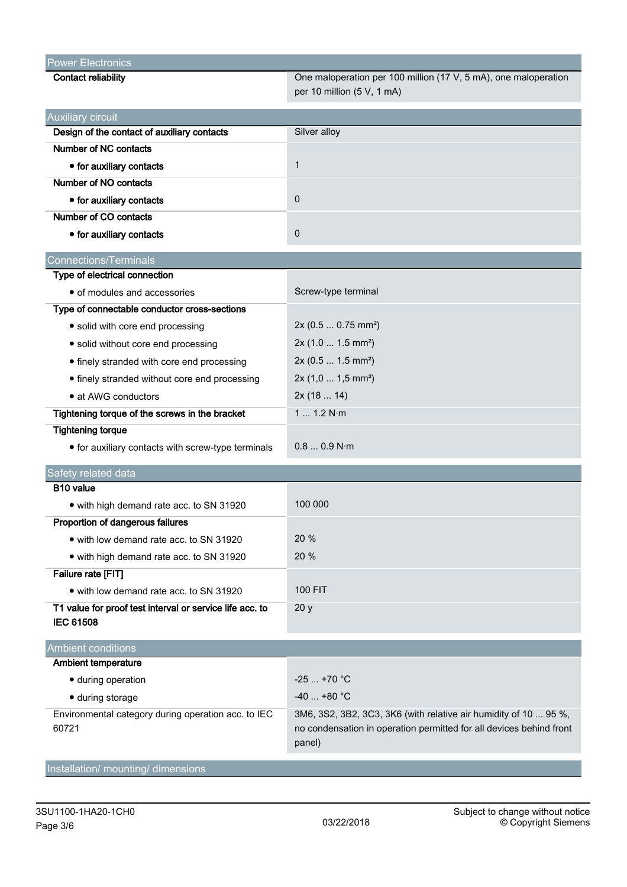| <b>Power Electronics</b>                                 |                                                                     |
|----------------------------------------------------------|---------------------------------------------------------------------|
| <b>Contact reliability</b>                               | One maloperation per 100 million (17 V, 5 mA), one maloperation     |
|                                                          | per 10 million (5 V, 1 mA)                                          |
| <b>Auxiliary circuit</b>                                 |                                                                     |
| Design of the contact of auxiliary contacts              | Silver alloy                                                        |
| Number of NC contacts                                    |                                                                     |
| • for auxiliary contacts                                 | $\mathbf 1$                                                         |
| Number of NO contacts                                    |                                                                     |
| • for auxiliary contacts                                 | 0                                                                   |
| Number of CO contacts                                    |                                                                     |
| • for auxiliary contacts                                 | $\mathbf 0$                                                         |
| <b>Connections/Terminals</b>                             |                                                                     |
| Type of electrical connection                            |                                                                     |
| • of modules and accessories                             | Screw-type terminal                                                 |
| Type of connectable conductor cross-sections             |                                                                     |
| • solid with core end processing                         | $2x (0.5  0.75 mm^2)$                                               |
| • solid without core end processing                      | 2x(1.0 1.5 mm <sup>2</sup> )                                        |
| • finely stranded with core end processing               | 2x (0.5  1.5 mm <sup>2</sup> )                                      |
| • finely stranded without core end processing            | 2x (1,0  1,5 mm <sup>2</sup> )                                      |
| • at AWG conductors                                      | 2x(1814)                                                            |
| Tightening torque of the screws in the bracket           | 1 1.2 N·m                                                           |
| <b>Tightening torque</b>                                 |                                                                     |
| • for auxiliary contacts with screw-type terminals       | 0.80.9 N·m                                                          |
| Safety related data                                      |                                                                     |
| B10 value                                                |                                                                     |
| • with high demand rate acc. to SN 31920                 | 100 000                                                             |
| Proportion of dangerous failures                         |                                                                     |
| • with low demand rate acc. to SN 31920                  | 20%                                                                 |
| • with high demand rate acc. to SN 31920                 | 20 %                                                                |
| Failure rate [FIT]                                       |                                                                     |
| • with low demand rate acc. to SN 31920                  | <b>100 FIT</b>                                                      |
| T1 value for proof test interval or service life acc. to | 20y                                                                 |
| <b>IEC 61508</b>                                         |                                                                     |
| <b>Ambient conditions</b>                                |                                                                     |
| <b>Ambient temperature</b>                               |                                                                     |
| · during operation                                       | $-25+70$ °C                                                         |
| · during storage                                         | $-40$ +80 °C                                                        |
| Environmental category during operation acc. to IEC      | 3M6, 3S2, 3B2, 3C3, 3K6 (with relative air humidity of 10  95 %,    |
| 60721                                                    | no condensation in operation permitted for all devices behind front |
|                                                          | panel)                                                              |

Installation/ mounting/ dimensions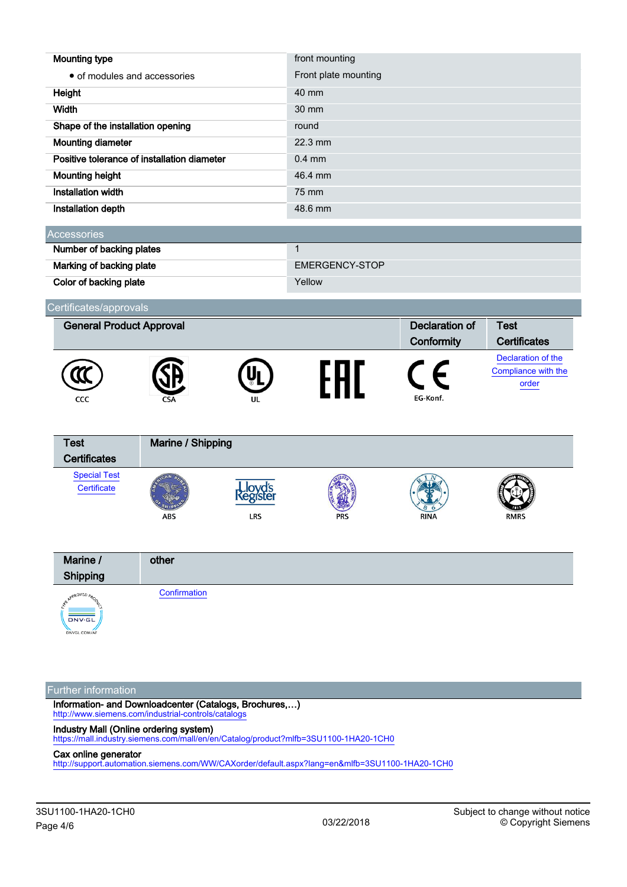| <b>Mounting type</b>                        | front mounting       |
|---------------------------------------------|----------------------|
| • of modules and accessories                | Front plate mounting |
| Height                                      | 40 mm                |
| Width                                       | $30 \text{ mm}$      |
| Shape of the installation opening           | round                |
| Mounting diameter                           | $22.3$ mm            |
| Positive tolerance of installation diameter | $0.4$ mm             |
| <b>Mounting height</b>                      | 46.4 mm              |
| Installation width                          | 75 mm                |
| Installation depth                          | 48.6 mm              |
|                                             |                      |

| <b>Accessories</b>       |                |  |
|--------------------------|----------------|--|
| Number of backing plates |                |  |
| Marking of backing plate | EMERGENCY-STOP |  |
| Color of backing plate   | Yellow         |  |

#### Certificates/approvals



```
Marine / Shipping
Test
Certificates
  Special Test
   Certificate
                                             ovd's
                                             LRS
                        ABS
```


#### Further information

Information- and Downloadcenter (Catalogs, Brochures,…) <http://www.siemens.com/industrial-controls/catalogs>

Industry Mall (Online ordering system)

<https://mall.industry.siemens.com/mall/en/en/Catalog/product?mlfb=3SU1100-1HA20-1CH0>

#### Cax online generator

<http://support.automation.siemens.com/WW/CAXorder/default.aspx?lang=en&mlfb=3SU1100-1HA20-1CH0>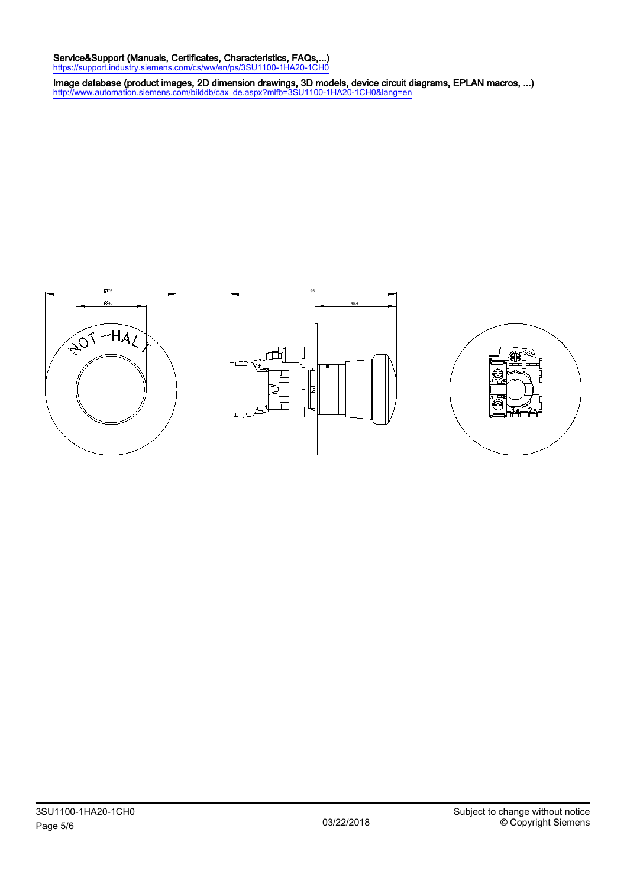#### Service&Support (Manuals, Certificates, Characteristics, FAQs,...) <https://support.industry.siemens.com/cs/ww/en/ps/3SU1100-1HA20-1CH0>

Image database (product images, 2D dimension drawings, 3D models, device circuit diagrams, EPLAN macros, ...) [http://www.automation.siemens.com/bilddb/cax\\_de.aspx?mlfb=3SU1100-1HA20-1CH0&lang=en](http://www.automation.siemens.com/bilddb/cax_de.aspx?mlfb=3SU1100-1HA20-1CH0&lang=en)